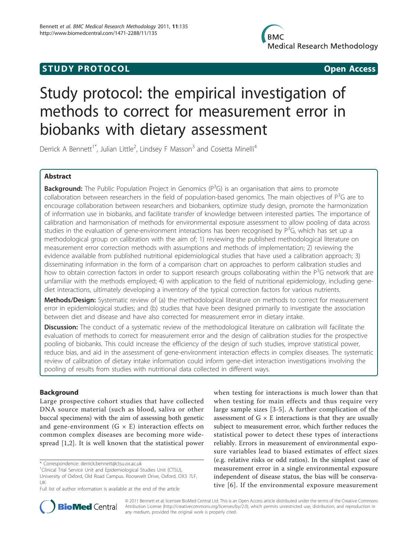# **STUDY PROTOCOL** And the state of the state of the state of the state of the state of the state of the state of the state of the state of the state of the state of the state of the state of the state of the state of the st

# Study protocol: the empirical investigation of methods to correct for measurement error in biobanks with dietary assessment

Derrick A Bennett<sup>1\*</sup>, Julian Little<sup>2</sup>, Lindsey F Masson<sup>3</sup> and Cosetta Minelli<sup>4</sup>

# Abstract

Background: The Public Population Project in Genomics (P<sup>3</sup>G) is an organisation that aims to promote collaboration between researchers in the field of population-based genomics. The main objectives of P<sup>3</sup>G are to encourage collaboration between researchers and biobankers, optimize study design, promote the harmonization of information use in biobanks, and facilitate transfer of knowledge between interested parties. The importance of calibration and harmonisation of methods for environmental exposure assessment to allow pooling of data across studies in the evaluation of gene-environment interactions has been recognised by  $P^3G$ , which has set up a methodological group on calibration with the aim of; 1) reviewing the published methodological literature on measurement error correction methods with assumptions and methods of implementation; 2) reviewing the evidence available from published nutritional epidemiological studies that have used a calibration approach; 3) disseminating information in the form of a comparison chart on approaches to perform calibration studies and how to obtain correction factors in order to support research groups collaborating within the  $P^3G$  network that are unfamiliar with the methods employed; 4) with application to the field of nutritional epidemiology, including genediet interactions, ultimately developing a inventory of the typical correction factors for various nutrients.

Methods/Design: Systematic review of (a) the methodological literature on methods to correct for measurement error in epidemiological studies; and (b) studies that have been designed primarily to investigate the association between diet and disease and have also corrected for measurement error in dietary intake.

Discussion: The conduct of a systematic review of the methodological literature on calibration will facilitate the evaluation of methods to correct for measurement error and the design of calibration studies for the prospective pooling of biobanks. This could increase the efficiency of the design of such studies, improve statistical power, reduce bias, and aid in the assessment of gene-environment interaction effects in complex diseases. The systematic review of calibration of dietary intake information could inform gene-diet interaction investigations involving the pooling of results from studies with nutritional data collected in different ways.

# Background

Large prospective cohort studies that have collected DNA source material (such as blood, saliva or other buccal specimens) with the aim of assessing both genetic and gene-environment  $(G \times E)$  interaction effects on common complex diseases are becoming more widespread [[1,2](#page-4-0)]. It is well known that the statistical power

\* Correspondence: [derrick.bennett@ctsu.ox.ac.uk](mailto:derrick.bennett@ctsu.ox.ac.uk)

when testing for interactions is much lower than that when testing for main effects and thus require very large sample sizes [\[3](#page-4-0)-[5](#page-4-0)]. A further complication of the assessment of  $G \times E$  interactions is that they are usually subject to measurement error, which further reduces the statistical power to detect these types of interactions reliably. Errors in measurement of environmental exposure variables lead to biased estimates of effect sizes (e.g. relative risks or odd ratios). In the simplest case of measurement error in a single environmental exposure independent of disease status, the bias will be conservative [[6\]](#page-4-0). If the environmental exposure measurement



© 2011 Bennett et al; licensee BioMed Central Ltd. This is an Open Access article distributed under the terms of the Creative Commons Attribution License [\(http://creativecommons.org/licenses/by/2.0](http://creativecommons.org/licenses/by/2.0)), which permits unrestricted use, distribution, and reproduction in any medium, provided the original work is properly cited.

<sup>&</sup>lt;sup>1</sup>Clinical Trial Service Unit and Epidemiological Studies Unit (CTSU), University of Oxford, Old Road Campus. Roosevelt Drive, Oxford, OX3 7LF, UK

Full list of author information is available at the end of the article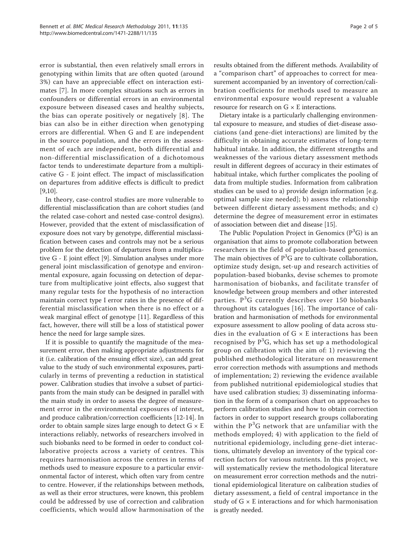error is substantial, then even relatively small errors in genotyping within limits that are often quoted (around 3%) can have an appreciable effect on interaction estimates [[7\]](#page-4-0). In more complex situations such as errors in confounders or differential errors in an environmental exposure between diseased cases and healthy subjects, the bias can operate positively or negatively [[8](#page-4-0)]. The bias can also be in either direction when genotyping errors are differential. When G and E are independent in the source population, and the errors in the assessment of each are independent, both differential and non-differential misclassification of a dichotomous factor tends to underestimate departure from a multiplicative G - E joint effect. The impact of misclassification on departures from additive effects is difficult to predict [[9,10\]](#page-4-0).

In theory, case-control studies are more vulnerable to differential misclassification than are cohort studies (and the related case-cohort and nested case-control designs). However, provided that the extent of misclassification of exposure does not vary by genotype, differential misclassification between cases and controls may not be a serious problem for the detection of departures from a multiplicative G - E joint effect [[9\]](#page-4-0). Simulation analyses under more general joint misclassification of genotype and environmental exposure, again focussing on detection of departure from multiplicative joint effects, also suggest that many regular tests for the hypothesis of no interaction maintain correct type I error rates in the presence of differential misclassification when there is no effect or a weak marginal effect of genotype [[11\]](#page-4-0). Regardless of this fact, however, there will still be a loss of statistical power hence the need for large sample sizes.

If it is possible to quantify the magnitude of the measurement error, then making appropriate adjustments for it (i.e. calibration of the ensuing effect size), can add great value to the study of such environmental exposures, particularly in terms of preventing a reduction in statistical power. Calibration studies that involve a subset of participants from the main study can be designed in parallel with the main study in order to assess the degree of measurement error in the environmental exposures of interest, and produce calibration/correction coefficients [\[12-14\]](#page-4-0). In order to obtain sample sizes large enough to detect  $G \times E$ interactions reliably, networks of researchers involved in such biobanks need to be formed in order to conduct collaborative projects across a variety of centres. This requires harmonisation across the centres in terms of methods used to measure exposure to a particular environmental factor of interest, which often vary from centre to centre. However, if the relationships between methods, as well as their error structures, were known, this problem could be addressed by use of correction and calibration coefficients, which would allow harmonisation of the results obtained from the different methods. Availability of a "comparison chart" of approaches to correct for measurement accompanied by an inventory of correction/calibration coefficients for methods used to measure an environmental exposure would represent a valuable resource for research on  $G \times E$  interactions.

Dietary intake is a particularly challenging environmental exposure to measure, and studies of diet-disease associations (and gene-diet interactions) are limited by the difficulty in obtaining accurate estimates of long-term habitual intake. In addition, the different strengths and weaknesses of the various dietary assessment methods result in different degrees of accuracy in their estimates of habitual intake, which further complicates the pooling of data from multiple studies. Information from calibration studies can be used to a) provide design information [e.g. optimal sample size needed]; b) assess the relationship between different dietary assessment methods; and c) determine the degree of measurement error in estimates of association between diet and disease [\[15\]](#page-4-0).

The Public Population Project in Genomics  $(P^3G)$  is an organisation that aims to promote collaboration between researchers in the field of population-based genomics. The main objectives of  $P^3G$  are to cultivate collaboration, optimize study design, set-up and research activities of population-based biobanks, devise schemes to promote harmonisation of biobanks, and facilitate transfer of knowledge between group members and other interested parties. P<sup>3</sup>G currently describes over 150 biobanks throughout its catalogues [[16](#page-4-0)]. The importance of calibration and harmonisation of methods for environmental exposure assessment to allow pooling of data across studies in the evaluation of  $G \times E$  interactions has been recognised by  $P^3G$ , which has set up a methodological group on calibration with the aim of: 1) reviewing the published methodological literature on measurement error correction methods with assumptions and methods of implementation; 2) reviewing the evidence available from published nutritional epidemiological studies that have used calibration studies; 3) disseminating information in the form of a comparison chart on approaches to perform calibration studies and how to obtain correction factors in order to support research groups collaborating within the  $P^3G$  network that are unfamiliar with the methods employed; 4) with application to the field of nutritional epidemiology, including gene-diet interactions, ultimately develop an inventory of the typical correction factors for various nutrients. In this project, we will systematically review the methodological literature on measurement error correction methods and the nutritional epidemiological literature on calibration studies of dietary assessment, a field of central importance in the study of  $G \times E$  interactions and for which harmonisation is greatly needed.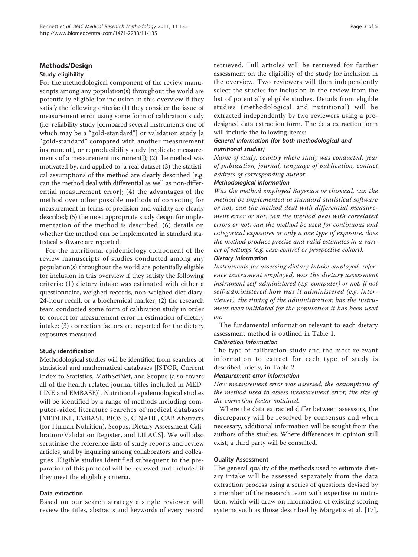# Methods/Design

#### Study eligibility

For the methodological component of the review manuscripts among any population(s) throughout the world are potentially eligible for inclusion in this overview if they satisfy the following criteria: (1) they consider the issue of measurement error using some form of calibration study (i.e. reliability study [compared several instruments one of which may be a "gold-standard"] or validation study [a "gold-standard" compared with another measurement instrument], or reproducibility study [replicate measurements of a measurement instrument]); (2) the method was motivated by, and applied to, a real dataset (3) the statistical assumptions of the method are clearly described [e.g. can the method deal with differential as well as non-differential measurement error]; (4) the advantages of the method over other possible methods of correcting for measurement in terms of precision and validity are clearly described; (5) the most appropriate study design for implementation of the method is described; (6) details on whether the method can be implemented in standard statistical software are reported.

For the nutritional epidemiology component of the review manuscripts of studies conducted among any population(s) throughout the world are potentially eligible for inclusion in this overview if they satisfy the following criteria: (1) dietary intake was estimated with either a questionnaire, weighed records, non-weighed diet diary, 24-hour recall, or a biochemical marker; (2) the research team conducted some form of calibration study in order to correct for measurement error in estimation of dietary intake; (3) correction factors are reported for the dietary exposures measured.

## Study identification

Methodological studies will be identified from searches of statistical and mathematical databases [JSTOR, Current Index to Statistics, MathSciNet, and Scopus (also covers all of the health-related journal titles included in MED-LINE and EMBASE)]. Nutritional epidemiological studies will be identified by a range of methods including computer-aided literature searches of medical databases [MEDLINE, EMBASE, BIOSIS, CINAHL, CAB Abstracts (for Human Nutrition), Scopus, Dietary Assessment Calibration/Validation Register, and LILACS]. We will also scrutinise the reference lists of study reports and review articles, and by inquiring among collaborators and colleagues. Eligible studies identified subsequent to the preparation of this protocol will be reviewed and included if they meet the eligibility criteria.

## Data extraction

Based on our search strategy a single reviewer will review the titles, abstracts and keywords of every record retrieved. Full articles will be retrieved for further assessment on the eligibility of the study for inclusion in the overview. Two reviewers will then independently select the studies for inclusion in the review from the list of potentially eligible studies. Details from eligible studies (methodological and nutritional) will be extracted independently by two reviewers using a predesigned data extraction form. The data extraction form will include the following items:

# General information (for both methodological and nutritional studies)

Name of study, country where study was conducted, year of publication, journal, language of publication, contact address of corresponding author.

## Methodological information

Was the method employed Bayesian or classical, can the method be implemented in standard statistical software or not, can the method deal with differential measurement error or not, can the method deal with correlated errors or not, can the method be used for continuous and categorical exposures or only a one type of exposure, does the method produce precise and valid estimates in a variety of settings (e.g. case-control or prospective cohort).

#### Dietary information

Instruments for assessing dietary intake employed, reference instrument employed, was the dietary assessment instrument self-administered (e.g. computer) or not, if not self-administered how was it administered (e.g. interviewer), the timing of the administration; has the instrument been validated for the population it has been used on.

The fundamental information relevant to each dietary assessment method is outlined in Table [1.](#page-3-0)

# Calibration information

The type of calibration study and the most relevant information to extract for each type of study is described briefly, in Table [2.](#page-3-0)

#### Measurement error information

How measurement error was assessed, the assumptions of the method used to assess measurement error, the size of the correction factor obtained.

Where the data extracted differ between assessors, the discrepancy will be resolved by consensus and when necessary, additional information will be sought from the authors of the studies. Where differences in opinion still exist, a third party will be consulted.

#### Quality Assessment

The general quality of the methods used to estimate dietary intake will be assessed separately from the data extraction process using a series of questions devised by a member of the research team with expertise in nutrition, which will draw on information of existing scoring systems such as those described by Margetts et al. [[17](#page-4-0)],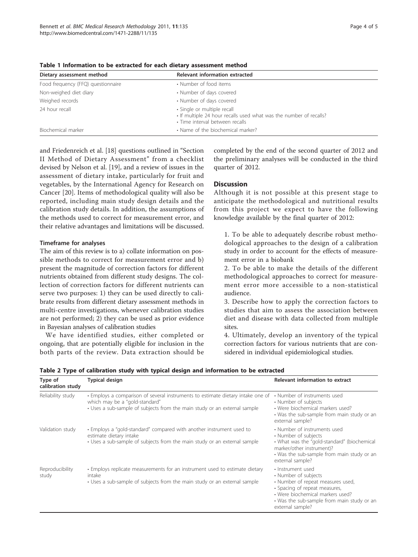| Dietary assessment method                                                                                                                              | Relevant information extracted    |
|--------------------------------------------------------------------------------------------------------------------------------------------------------|-----------------------------------|
| Food frequency (FFQ) questionnaire                                                                                                                     | • Number of food items            |
| Non-weighed diet diary                                                                                                                                 | • Number of days covered          |
| Weighed records                                                                                                                                        | • Number of days covered          |
| · Single or multiple recall<br>24 hour recall<br>• If multiple 24 hour recalls used what was the number of recalls?<br>· Time interval between recalls |                                   |
| Biochemical marker                                                                                                                                     | • Name of the biochemical marker? |

<span id="page-3-0"></span>Table 1 Information to be extracted for each dietary assessment method

and Friedenreich et al. [\[18\]](#page-4-0) questions outlined in "Section II Method of Dietary Assessment" from a checklist devised by Nelson et al. [\[19](#page-4-0)], and a review of issues in the assessment of dietary intake, particularly for fruit and vegetables, by the International Agency for Research on Cancer [[20](#page-4-0)]. Items of methodological quality will also be reported, including main study design details and the calibration study details. In addition, the assumptions of the methods used to correct for measurement error, and their relative advantages and limitations will be discussed.

#### Timeframe for analyses

The aim of this review is to a) collate information on possible methods to correct for measurement error and b) present the magnitude of correction factors for different nutrients obtained from different study designs. The collection of correction factors for different nutrients can serve two purposes: 1) they can be used directly to calibrate results from different dietary assessment methods in multi-centre investigations, whenever calibration studies are not performed; 2) they can be used as prior evidence in Bayesian analyses of calibration studies

We have identified studies, either completed or ongoing, that are potentially eligible for inclusion in the both parts of the review. Data extraction should be completed by the end of the second quarter of 2012 and the preliminary analyses will be conducted in the third quarter of 2012.

## **Discussion**

Although it is not possible at this present stage to anticipate the methodological and nutritional results from this project we expect to have the following knowledge available by the final quarter of 2012:

1. To be able to adequately describe robust methodological approaches to the design of a calibration study in order to account for the effects of measurement error in a biobank

2. To be able to make the details of the different methodological approaches to correct for measurement error more accessible to a non-statistical audience.

3. Describe how to apply the correction factors to studies that aim to assess the association between diet and disease with data collected from multiple sites.

4. Ultimately, develop an inventory of the typical correction factors for various nutrients that are considered in individual epidemiological studies.

| Type of<br>calibration study | Typical design                                                                                                                                                                                 | Relevant information to extract                                                                                                                                                                                       |
|------------------------------|------------------------------------------------------------------------------------------------------------------------------------------------------------------------------------------------|-----------------------------------------------------------------------------------------------------------------------------------------------------------------------------------------------------------------------|
| Reliability study            | • Employs a comparison of several instruments to estimate dietary intake one of<br>which may be a "gold-standard"<br>• Uses a sub-sample of subjects from the main study or an external sample | • Number of instruments used<br>• Number of subjects<br>• Were biochemical markers used?<br>• Was the sub-sample from main study or an<br>external sample?                                                            |
| Validation study             | • Employs a "gold-standard" compared with another instrument used to<br>estimate dietary intake<br>• Uses a sub-sample of subjects from the main study or an external sample                   | • Number of instruments used<br>• Number of subjects<br>• What was the "gold-standard" (biochemical<br>marker/other instrument)?<br>• Was the sub-sample from main study or an<br>external sample?                    |
| Reproducibility<br>study     | • Employs replicate measurements for an instrument used to estimate dietary<br>intake<br>• Uses a sub-sample of subjects from the main study or an external sample                             | · Instrument used<br>• Number of subjects<br>• Number of repeat measures used,<br>• Spacing of repeat measures,<br>• Were biochemical markers used?<br>• Was the sub-sample from main study or an<br>external sample? |

Table 2 Type of calibration study with typical design and information to be extracted